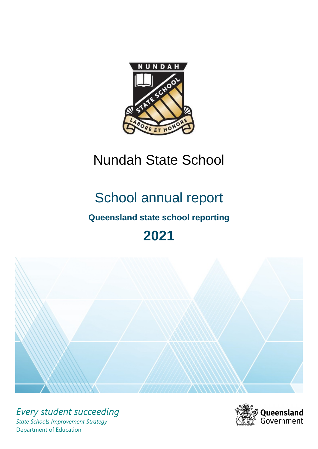

# Nundah State School

# School annual report

# **Queensland state school reporting**

# **2021**



*Every student succeeding State Schools Improvement Strategy* Department of Education

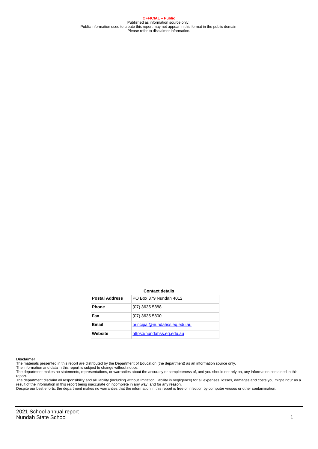**OFFICIAL – Public** Published as information source only. Public information used to create this report may not appear in this format in the public domain Please refer to disclaimer information.

#### **Contact details**

| <b>Postal Address</b> | PO Box 379 Nundah 4012       |
|-----------------------|------------------------------|
| <b>Phone</b>          | $(07)$ 3635 5888             |
| Fax                   | $(07)$ 3635 5800             |
| <b>Email</b>          | principal@nundahss.eq.edu.au |
| Website               | https://nundahss.eq.edu.au   |

#### **Disclaimer**

The materials presented in this report are distributed by the Department of Education (the department) as an information source only.

The information and data in this report is subject to change without notice.<br>The department makes no statements, representations, or warranties about the accuracy or completeness of, and you should not rely on, any informa report.

The department disclaim all responsibility and all liability (including without limitation, liability in negligence) for all expenses, losses, damages and costs you might incur as a result of the information in this report being inaccurate or incomplete in any way, and for any reason.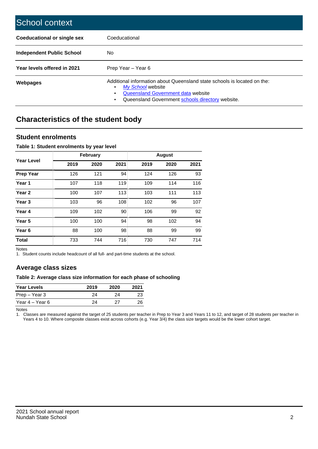| School context                   |                                                                                                                                                                                              |
|----------------------------------|----------------------------------------------------------------------------------------------------------------------------------------------------------------------------------------------|
| Coeducational or single sex      | Coeducational                                                                                                                                                                                |
| <b>Independent Public School</b> | No.                                                                                                                                                                                          |
| Year levels offered in 2021      | Prep Year - Year 6                                                                                                                                                                           |
| Webpages                         | Additional information about Queensland state schools is located on the:<br>My School website<br>Queensland Government data website<br>Queensland Government schools directory website.<br>٠ |

# **Characteristics of the student body**

## **Student enrolments**

### **Table 1: Student enrolments by year level**

|                   |      | <b>February</b> |      |      | <b>August</b> |      |
|-------------------|------|-----------------|------|------|---------------|------|
| Year Level        | 2019 | 2020            | 2021 | 2019 | 2020          | 2021 |
| <b>Prep Year</b>  | 126  | 121             | 94   | 124  | 126           | 93   |
| Year 1            | 107  | 118             | 119  | 109  | 114           | 116  |
| Year <sub>2</sub> | 100  | 107             | 113  | 103  | 111           | 113  |
| Year <sub>3</sub> | 103  | 96              | 108  | 102  | 96            | 107  |
| Year 4            | 109  | 102             | 90   | 106  | 99            | 92   |
| Year 5            | 100  | 100             | 94   | 98   | 102           | 94   |
| Year <sub>6</sub> | 88   | 100             | 98   | 88   | 99            | 99   |
| <b>Total</b>      | 733  | 744             | 716  | 730  | 747           | 714  |

Notes

1. Student counts include headcount of all full- and part-time students at the school.

## **Average class sizes**

### **Table 2: Average class size information for each phase of schooling**

| <b>Year Levels</b> | 2019 | 2020 | 2021 |
|--------------------|------|------|------|
| Prep – Year 3      | 24   | 24   | 23   |
| Year 4 – Year 6    | 24   | דני  | 26   |

Notes

1. Classes are measured against the target of 25 students per teacher in Prep to Year 3 and Years 11 to 12, and target of 28 students per teacher in Years 4 to 10. Where composite classes exist across cohorts (e.g. Year 3/4) the class size targets would be the lower cohort target.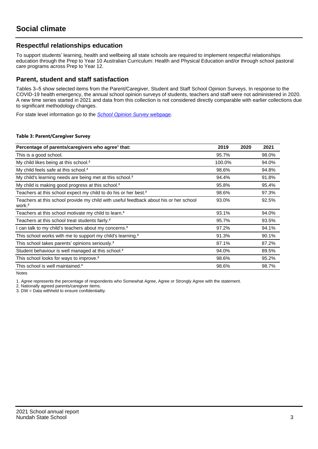## **Respectful relationships education**

To support students' learning, health and wellbeing all state schools are required to implement respectful relationships education through the Prep to Year 10 Australian Curriculum: Health and Physical Education and/or through school pastoral care programs across Prep to Year 12.

## **Parent, student and staff satisfaction**

Tables 3–5 show selected items from the Parent/Caregiver, Student and Staff School Opinion Surveys. In response to the COVID-19 health emergency, the annual school opinion surveys of students, teachers and staff were not administered in 2020. A new time series started in 2021 and data from this collection is not considered directly comparable with earlier collections due to significant methodology changes.

For state level information go to the **[School Opinion Survey](https://qed.qld.gov.au/publications/reports/statistics/schooling/schools/schoolopinionsurvey) webpage**.

#### **Table 3: Parent/Caregiver Survey**

| Percentage of parents/caregivers who agree <sup>1</sup> that:                                               | 2019   | 2020 | 2021  |
|-------------------------------------------------------------------------------------------------------------|--------|------|-------|
| This is a good school.                                                                                      | 95.7%  |      | 98.0% |
| My child likes being at this school. <sup>2</sup>                                                           | 100.0% |      | 94.0% |
| My child feels safe at this school. <sup>2</sup>                                                            | 98.6%  |      | 94.8% |
| My child's learning needs are being met at this school. <sup>2</sup>                                        | 94.4%  |      | 91.8% |
| My child is making good progress at this school. <sup>2</sup>                                               | 95.8%  |      | 95.4% |
| Teachers at this school expect my child to do his or her best. <sup>2</sup>                                 | 98.6%  |      | 97.3% |
| Teachers at this school provide my child with useful feedback about his or her school<br>work. <sup>2</sup> | 93.0%  |      | 92.5% |
| Teachers at this school motivate my child to learn. <sup>2</sup>                                            | 93.1%  |      | 94.0% |
| Teachers at this school treat students fairly. <sup>2</sup>                                                 | 95.7%  |      | 93.5% |
| I can talk to my child's teachers about my concerns. <sup>2</sup>                                           | 97.2%  |      | 94.1% |
| This school works with me to support my child's learning. <sup>2</sup>                                      | 91.3%  |      | 90.1% |
| This school takes parents' opinions seriously. <sup>2</sup>                                                 | 87.1%  |      | 87.2% |
| Student behaviour is well managed at this school. <sup>2</sup>                                              | 94.0%  |      | 89.5% |
| This school looks for ways to improve. <sup>2</sup>                                                         | 98.6%  |      | 95.2% |
| This school is well maintained. <sup>2</sup>                                                                | 98.6%  |      | 98.7% |

Notes

1. Agree represents the percentage of respondents who Somewhat Agree, Agree or Strongly Agree with the statement.

2. Nationally agreed parents/caregiver items.

3. DW = Data withheld to ensure confidentiality.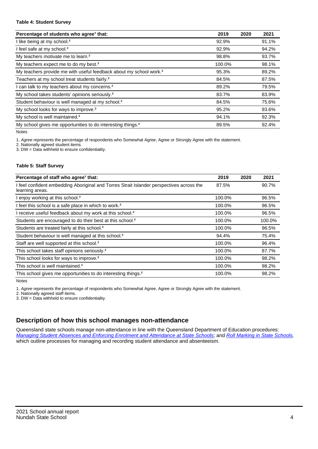#### **Table 4: Student Survey**

| Percentage of students who agree <sup>1</sup> that:                            | 2019   | 2020 | 2021  |
|--------------------------------------------------------------------------------|--------|------|-------|
| I like being at my school. <sup>2</sup>                                        | 92.9%  |      | 91.1% |
| I feel safe at my school. <sup>2</sup>                                         | 92.9%  |      | 94.2% |
| My teachers motivate me to learn. <sup>2</sup>                                 | 98.8%  |      | 93.7% |
| My teachers expect me to do my best. <sup>2</sup>                              | 100.0% |      | 98.1% |
| My teachers provide me with useful feedback about my school work. <sup>2</sup> | 95.3%  |      | 89.2% |
| Teachers at my school treat students fairly. <sup>2</sup>                      | 84.5%  |      | 87.5% |
| I can talk to my teachers about my concerns. <sup>2</sup>                      | 89.2%  |      | 79.5% |
| My school takes students' opinions seriously. <sup>2</sup>                     | 83.7%  |      | 83.9% |
| Student behaviour is well managed at my school. <sup>2</sup>                   | 84.5%  |      | 75.6% |
| My school looks for ways to improve. <sup>2</sup>                              | 95.2%  |      | 93.6% |
| My school is well maintained. <sup>2</sup>                                     | 94.1%  |      | 92.3% |
| My school gives me opportunities to do interesting things. <sup>2</sup>        | 89.5%  |      | 92.4% |

Notes

1. Agree represents the percentage of respondents who Somewhat Agree, Agree or Strongly Agree with the statement.

2. Nationally agreed student items.

3. DW = Data withheld to ensure confidentiality.

#### **Table 5: Staff Survey**

| Percentage of staff who agree <sup>1</sup> that:                                                            | 2019   | 2020 | 2021   |
|-------------------------------------------------------------------------------------------------------------|--------|------|--------|
| I feel confident embedding Aboriginal and Torres Strait Islander perspectives across the<br>learning areas. | 87.5%  |      | 90.7%  |
| I enjoy working at this school. <sup>2</sup>                                                                | 100.0% |      | 96.5%  |
| I feel this school is a safe place in which to work. <sup>2</sup>                                           | 100.0% |      | 96.5%  |
| I receive useful feedback about my work at this school. <sup>2</sup>                                        | 100.0% |      | 96.5%  |
| Students are encouraged to do their best at this school. <sup>2</sup>                                       | 100.0% |      | 100.0% |
| Students are treated fairly at this school. <sup>2</sup>                                                    | 100.0% |      | 96.5%  |
| Student behaviour is well managed at this school. <sup>2</sup>                                              | 94.4%  |      | 75.4%  |
| Staff are well supported at this school. <sup>2</sup>                                                       | 100.0% |      | 96.4%  |
| This school takes staff opinions seriously. <sup>2</sup>                                                    | 100.0% |      | 87.7%  |
| This school looks for ways to improve. <sup>2</sup>                                                         | 100.0% |      | 98.2%  |
| This school is well maintained. <sup>2</sup>                                                                | 100.0% |      | 98.2%  |
| This school gives me opportunities to do interesting things. <sup>2</sup>                                   | 100.0% |      | 98.2%  |

Notes

1. Agree represents the percentage of respondents who Somewhat Agree, Agree or Strongly Agree with the statement.

2. Nationally agreed staff items.

3. DW = Data withheld to ensure confidentiality.

## **Description of how this school manages non-attendance**

Queensland state schools manage non-attendance in line with the Queensland Department of Education procedures: [Managing Student Absences and Enforcing Enrolment and Attendance at State Schools](https://ppr.qed.qld.gov.au/pp/managing-student-absences-and-enforcing-enrolment-and-attendance-at-state-schools-procedure); and [Roll Marking in State Schools,](https://ppr.qed.qld.gov.au/pp/roll-marking-in-state-schools-procedure) which outline processes for managing and recording student attendance and absenteeism.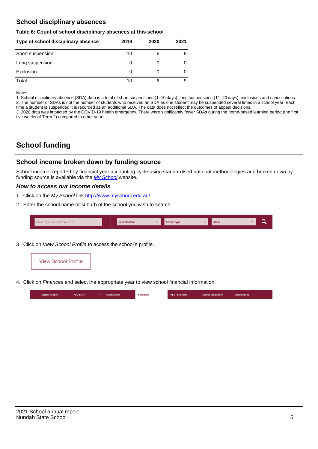## **School disciplinary absences**

#### **Table 6: Count of school disciplinary absences at this school**

| Type of school disciplinary absence | 2019 | 2020 | 2021 |
|-------------------------------------|------|------|------|
| Short suspension                    | 10   | 6    | 9    |
| Long suspension                     |      |      |      |
| Exclusion                           |      |      |      |
| Total                               | 10   | 6    | 9    |

Notes

1. School disciplinary absence (SDA) data is a total of short suspensions (1–10 days), long suspensions (11–20 days), exclusions and cancellations. 2. The number of SDAs is not the number of students who received an SDA as one student may be suspended several times in a school year. Each time a student is suspended it is recorded as an additional SDA. The data does not reflect the outcomes of appeal decisions.

3. 2020 data was impacted by the COVID-19 health emergency. There were significantly fewer SDAs during the home-based learning period (the first five weeks of Term 2) compared to other years.

# **School funding**

## **School income broken down by funding source**

School income, reported by financial year accounting cycle using standardised national methodologies and broken down by funding source is available via the  $My$  School website.

### **How to access our income details**

- 1. Click on the My School link <http://www.myschool.edu.au/>.
- 2. Enter the school name or suburb of the school you wish to search.

| Search by school name or suburb | <b>School sector</b> | $\sim$ ochool type | <b>State</b> |  |  |
|---------------------------------|----------------------|--------------------|--------------|--|--|
|                                 |                      |                    |              |  |  |

3. Click on View School Profile to access the school's profile.



4. Click on Finances and select the appropriate year to view school financial information.

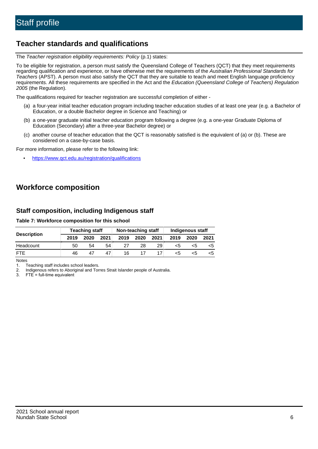## **Teacher standards and qualifications**

The Teacher registration eligibility requirements: Policy (p.1) states:

To be eligible for registration, a person must satisfy the Queensland College of Teachers (QCT) that they meet requirements regarding qualification and experience, or have otherwise met the requirements of the Australian Professional Standards for Teachers (APST). A person must also satisfy the QCT that they are suitable to teach and meet English language proficiency requirements. All these requirements are specified in the Act and the Education (Queensland College of Teachers) Regulation 2005 (the Regulation).

The qualifications required for teacher registration are successful completion of either -

- (a) a four-year initial teacher education program including teacher education studies of at least one year (e.g. a Bachelor of Education, or a double Bachelor degree in Science and Teaching) or
- (b) a one-year graduate initial teacher education program following a degree (e.g. a one-year Graduate Diploma of Education (Secondary) after a three-year Bachelor degree) or
- (c) another course of teacher education that the QCT is reasonably satisfied is the equivalent of (a) or (b). These are considered on a case-by-case basis.

For more information, please refer to the following link:

• <https://www.qct.edu.au/registration/qualifications>

# **Workforce composition**

## **Staff composition, including Indigenous staff**

**Table 7: Workforce composition for this school**

|                    | <b>Teaching staff</b> |      |      | Non-teaching staff |      |      | <b>Indigenous staff</b> |      |      |
|--------------------|-----------------------|------|------|--------------------|------|------|-------------------------|------|------|
| <b>Description</b> | 2019                  | 2020 | 2021 | 2019               | 2020 | 2021 | 2019                    | 2020 | 2021 |
| Headcount          | 50                    | 54   | 54   |                    | 28   | 29   | <5                      | ה>   |      |
| <b>FTF</b>         | 46                    | 47   | 47   | 16                 |      |      | <5                      |      |      |

Notes

1. Teaching staff includes school leaders.

2. Indigenous refers to Aboriginal and Torres Strait Islander people of Australia.

3. FTE = full-time equivalent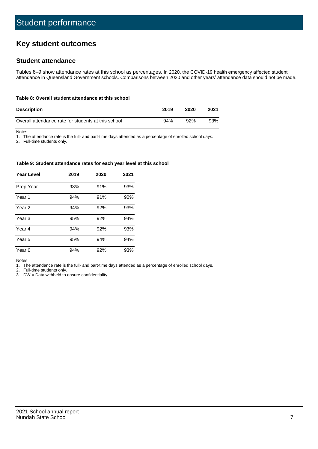# **Key student outcomes**

## **Student attendance**

Tables 8–9 show attendance rates at this school as percentages. In 2020, the COVID-19 health emergency affected student attendance in Queensland Government schools. Comparisons between 2020 and other years' attendance data should not be made.

#### **Table 8: Overall student attendance at this school**

| <b>Description</b>                                  | 2019 | 2020 | 2021 |
|-----------------------------------------------------|------|------|------|
| Overall attendance rate for students at this school | 94%  | 92%  | 93%  |

Notes

1. The attendance rate is the full- and part-time days attended as a percentage of enrolled school days.

2. Full-time students only.

#### **Table 9: Student attendance rates for each year level at this school**

| <b>Year Level</b> | 2019 | 2020 | 2021 |
|-------------------|------|------|------|
| Prep Year         | 93%  | 91%  | 93%  |
| Year <sub>1</sub> | 94%  | 91%  | 90%  |
| Year 2            | 94%  | 92%  | 93%  |
| Year 3            | 95%  | 92%  | 94%  |
| Year 4            | 94%  | 92%  | 93%  |
| Year 5            | 95%  | 94%  | 94%  |
| Year <sub>6</sub> | 94%  | 92%  | 93%  |

Notes

1. The attendance rate is the full- and part-time days attended as a percentage of enrolled school days.

2. Full-time students only.

3. DW = Data withheld to ensure confidentiality